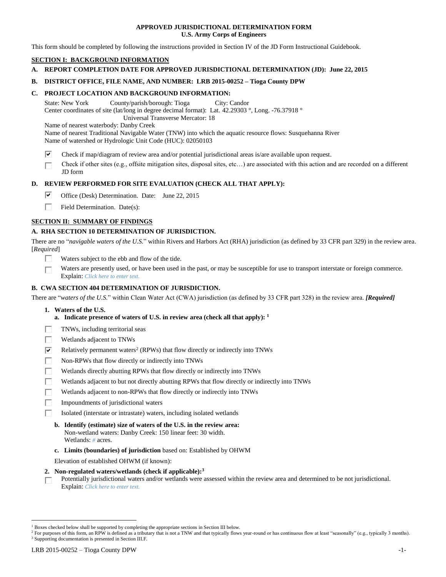# **APPROVED JURISDICTIONAL DETERMINATION FORM U.S. Army Corps of Engineers**

This form should be completed by following the instructions provided in Section IV of the JD Form Instructional Guidebook.

# **SECTION I: BACKGROUND INFORMATION**

**A. REPORT COMPLETION DATE FOR APPROVED JURISDICTIONAL DETERMINATION (JD): June 22, 2015**

# **B. DISTRICT OFFICE, FILE NAME, AND NUMBER: LRB 2015-00252 – Tioga County DPW**

# **C. PROJECT LOCATION AND BACKGROUND INFORMATION:**

State: New York County/parish/borough: Tioga City: Candor Center coordinates of site (lat/long in degree decimal format): Lat. 42.29303 °, Long. -76.37918 ° Universal Transverse Mercator: 18

Name of nearest waterbody: Danby Creek

Name of nearest Traditional Navigable Water (TNW) into which the aquatic resource flows: Susquehanna River Name of watershed or Hydrologic Unit Code (HUC): 02050103

- ⊽ Check if map/diagram of review area and/or potential jurisdictional areas is/are available upon request.
- Check if other sites (e.g., offsite mitigation sites, disposal sites, etc…) are associated with this action and are recorded on a different п JD form

# **D. REVIEW PERFORMED FOR SITE EVALUATION (CHECK ALL THAT APPLY):**

- ☞ Office (Desk) Determination. Date: June 22, 2015
- П. Field Determination. Date(s):

# **SECTION II: SUMMARY OF FINDINGS**

# **A. RHA SECTION 10 DETERMINATION OF JURISDICTION.**

There are no "*navigable waters of the U.S.*" within Rivers and Harbors Act (RHA) jurisdiction (as defined by 33 CFR part 329) in the review area. [*Required*]

- Waters subject to the ebb and flow of the tide.
- Waters are presently used, or have been used in the past, or may be susceptible for use to transport interstate or foreign commerce. г Explain: *Click here to enter text.*

# **B. CWA SECTION 404 DETERMINATION OF JURISDICTION.**

There are "*waters of the U.S.*" within Clean Water Act (CWA) jurisdiction (as defined by 33 CFR part 328) in the review area. *[Required]*

- **1. Waters of the U.S.**
	- **a. Indicate presence of waters of U.S. in review area (check all that apply): 1**
- TNWs, including territorial seas П
- П Wetlands adjacent to TNWs
- ☑ Relatively permanent waters<sup>2</sup> (RPWs) that flow directly or indirectly into TNWs
- П Non-RPWs that flow directly or indirectly into TNWs
- П Wetlands directly abutting RPWs that flow directly or indirectly into TNWs
- Wetlands adjacent to but not directly abutting RPWs that flow directly or indirectly into TNWs
- г Wetlands adjacent to non-RPWs that flow directly or indirectly into TNWs
- П Impoundments of jurisdictional waters
- п Isolated (interstate or intrastate) waters, including isolated wetlands
	- **b. Identify (estimate) size of waters of the U.S. in the review area:** Non-wetland waters: Danby Creek: 150 linear feet: 30 width. Wetlands: *#* acres.
	- **c. Limits (boundaries) of jurisdiction** based on: Established by OHWM

Elevation of established OHWM (if known):

- **2. Non-regulated waters/wetlands (check if applicable): 3**
- Potentially jurisdictional waters and/or wetlands were assessed within the review area and determined to be not jurisdictional. П Explain: *Click here to enter text.*

<sup>1</sup> Boxes checked below shall be supported by completing the appropriate sections in Section III below.

<sup>&</sup>lt;sup>2</sup> For purposes of this form, an RPW is defined as a tributary that is not a TNW and that typically flows year-round or has continuous flow at least "seasonally" (e.g., typically 3 months). <sup>3</sup> Supporting documentation is presented in Section III.F.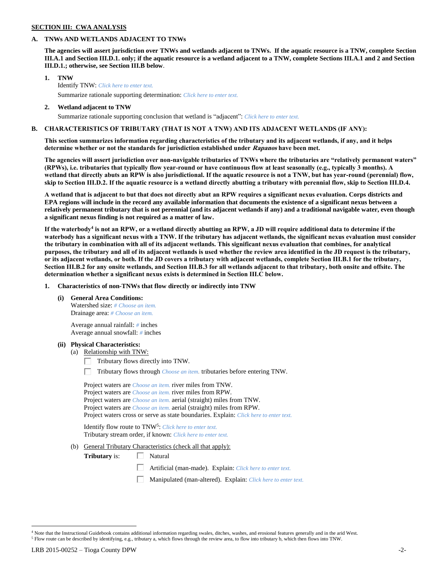# **SECTION III: CWA ANALYSIS**

## **A. TNWs AND WETLANDS ADJACENT TO TNWs**

**The agencies will assert jurisdiction over TNWs and wetlands adjacent to TNWs. If the aquatic resource is a TNW, complete Section III.A.1 and Section III.D.1. only; if the aquatic resource is a wetland adjacent to a TNW, complete Sections III.A.1 and 2 and Section III.D.1.; otherwise, see Section III.B below**.

- **1. TNW**  Identify TNW: *Click here to enter text.* Summarize rationale supporting determination: *Click here to enter text.*
- **2. Wetland adjacent to TNW** Summarize rationale supporting conclusion that wetland is "adjacent": *Click here to enter text.*

# **B. CHARACTERISTICS OF TRIBUTARY (THAT IS NOT A TNW) AND ITS ADJACENT WETLANDS (IF ANY):**

# **This section summarizes information regarding characteristics of the tributary and its adjacent wetlands, if any, and it helps determine whether or not the standards for jurisdiction established under Rapanos have been met.**

**The agencies will assert jurisdiction over non-navigable tributaries of TNWs where the tributaries are "relatively permanent waters" (RPWs), i.e. tributaries that typically flow year-round or have continuous flow at least seasonally (e.g., typically 3 months). A wetland that directly abuts an RPW is also jurisdictional. If the aquatic resource is not a TNW, but has year-round (perennial) flow, skip to Section III.D.2. If the aquatic resource is a wetland directly abutting a tributary with perennial flow, skip to Section III.D.4.**

**A wetland that is adjacent to but that does not directly abut an RPW requires a significant nexus evaluation. Corps districts and EPA regions will include in the record any available information that documents the existence of a significant nexus between a relatively permanent tributary that is not perennial (and its adjacent wetlands if any) and a traditional navigable water, even though a significant nexus finding is not required as a matter of law.**

**If the waterbody<sup>4</sup> is not an RPW, or a wetland directly abutting an RPW, a JD will require additional data to determine if the waterbody has a significant nexus with a TNW. If the tributary has adjacent wetlands, the significant nexus evaluation must consider the tributary in combination with all of its adjacent wetlands. This significant nexus evaluation that combines, for analytical purposes, the tributary and all of its adjacent wetlands is used whether the review area identified in the JD request is the tributary, or its adjacent wetlands, or both. If the JD covers a tributary with adjacent wetlands, complete Section III.B.1 for the tributary, Section III.B.2 for any onsite wetlands, and Section III.B.3 for all wetlands adjacent to that tributary, both onsite and offsite. The determination whether a significant nexus exists is determined in Section III.C below.**

**1. Characteristics of non-TNWs that flow directly or indirectly into TNW**

**(i) General Area Conditions:**

Watershed size: *# Choose an item.* Drainage area: *# Choose an item.*

Average annual rainfall: *#* inches Average annual snowfall: *#* inches

# **(ii) Physical Characteristics:**

- (a) Relationship with TNW:
	- $\Box$  Tributary flows directly into TNW.
	- Tributary flows through *Choose an item.* tributaries before entering TNW.

| Project waters are <i>Choose an item</i> , river miles from TNW.                      |  |
|---------------------------------------------------------------------------------------|--|
| Project waters are <i>Choose an item</i> , river miles from RPW.                      |  |
| Project waters are <i>Choose an item.</i> aerial (straight) miles from TNW.           |  |
| Project waters are <i>Choose an item.</i> aerial (straight) miles from RPW.           |  |
| Project waters cross or serve as state boundaries. Explain: Click here to enter text. |  |

Identify flow route to TNW<sup>5</sup>: Click here to enter text. Tributary stream order, if known: *Click here to enter text.*

(b) General Tributary Characteristics (check all that apply):

**Tributary** is:  $\Box$  Natural

- Artificial (man-made). Explain: *Click here to enter text.*
- Manipulated (man-altered). Explain: *Click here to enter text.*

<sup>4</sup> Note that the Instructional Guidebook contains additional information regarding swales, ditches, washes, and erosional features generally and in the arid West.

<sup>5</sup> Flow route can be described by identifying, e.g., tributary a, which flows through the review area, to flow into tributary b, which then flows into TNW.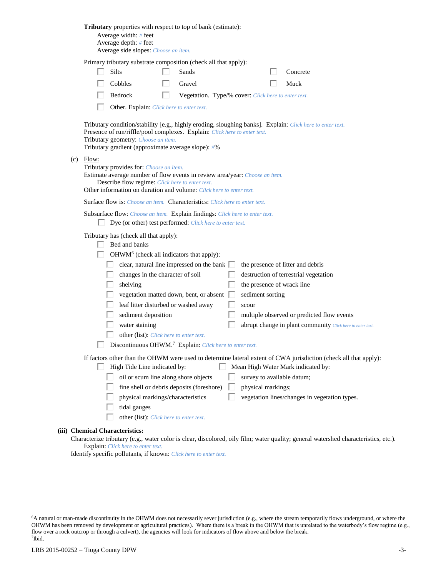|                                 | Tributary properties with respect to top of bank (estimate):<br>Average width: # feet<br>Average depth: # feet<br>Average side slopes: Choose an item.                                                                                                                                                                                                                                                                                                                                                                                                                                                                                                                                                                  |  |  |  |  |
|---------------------------------|-------------------------------------------------------------------------------------------------------------------------------------------------------------------------------------------------------------------------------------------------------------------------------------------------------------------------------------------------------------------------------------------------------------------------------------------------------------------------------------------------------------------------------------------------------------------------------------------------------------------------------------------------------------------------------------------------------------------------|--|--|--|--|
|                                 | Primary tributary substrate composition (check all that apply):<br>Silts<br>Sands<br>Concrete<br>Cobbles<br>Muck<br>Gravel<br>Bedrock<br>п<br>Vegetation. Type/% cover: Click here to enter text.<br>Other. Explain: Click here to enter text.                                                                                                                                                                                                                                                                                                                                                                                                                                                                          |  |  |  |  |
|                                 | Tributary condition/stability [e.g., highly eroding, sloughing banks]. Explain: Click here to enter text.<br>Presence of run/riffle/pool complexes. Explain: Click here to enter text.<br>Tributary geometry: Choose an item.<br>Tributary gradient (approximate average slope): #%                                                                                                                                                                                                                                                                                                                                                                                                                                     |  |  |  |  |
| (c)                             | Flow:<br>Tributary provides for: Choose an item.<br>Estimate average number of flow events in review area/year: Choose an item.<br>Describe flow regime: Click here to enter text.<br>Other information on duration and volume: Click here to enter text.                                                                                                                                                                                                                                                                                                                                                                                                                                                               |  |  |  |  |
|                                 | Surface flow is: Choose an item. Characteristics: Click here to enter text.                                                                                                                                                                                                                                                                                                                                                                                                                                                                                                                                                                                                                                             |  |  |  |  |
|                                 | Subsurface flow: Choose an item. Explain findings: Click here to enter text.<br>Dye (or other) test performed: Click here to enter text.                                                                                                                                                                                                                                                                                                                                                                                                                                                                                                                                                                                |  |  |  |  |
|                                 | Tributary has (check all that apply):<br>Bed and banks<br>OHWM <sup>6</sup> (check all indicators that apply):<br>clear, natural line impressed on the bank $\Box$<br>the presence of litter and debris<br>changes in the character of soil<br>destruction of terrestrial vegetation<br>the presence of wrack line<br>shelving<br>vegetation matted down, bent, or absent [<br>sediment sorting<br>leaf litter disturbed or washed away<br>scour<br>sediment deposition<br>multiple observed or predicted flow events<br>water staining<br>abrupt change in plant community Click here to enter text.<br>other (list): Click here to enter text.<br>Discontinuous OHWM. <sup>7</sup> Explain: Click here to enter text. |  |  |  |  |
|                                 | If factors other than the OHWM were used to determine lateral extent of CWA jurisdiction (check all that apply):<br>High Tide Line indicated by:<br>Mean High Water Mark indicated by:<br>oil or scum line along shore objects<br>survey to available datum;<br>fine shell or debris deposits (foreshore)<br>physical markings;<br>vegetation lines/changes in vegetation types.<br>physical markings/characteristics<br>tidal gauges<br>other (list): Click here to enter text.                                                                                                                                                                                                                                        |  |  |  |  |
| (iii) Chemical Characteristics: |                                                                                                                                                                                                                                                                                                                                                                                                                                                                                                                                                                                                                                                                                                                         |  |  |  |  |
|                                 | Characterize tributary (e.g., water color is clear, discolored, oily film; water quality; general watershed characteristics, etc.).<br><b>Explain:</b> Click here to enter text.                                                                                                                                                                                                                                                                                                                                                                                                                                                                                                                                        |  |  |  |  |

Identify specific pollutants, if known: *Click here to enter text.*

<sup>6</sup>A natural or man-made discontinuity in the OHWM does not necessarily sever jurisdiction (e.g., where the stream temporarily flows underground, or where the OHWM has been removed by development or agricultural practices). Where there is a break in the OHWM that is unrelated to the waterbody's flow regime (e.g., flow over a rock outcrop or through a culvert), the agencies will look for indicators of flow above and below the break. 7 Ibid.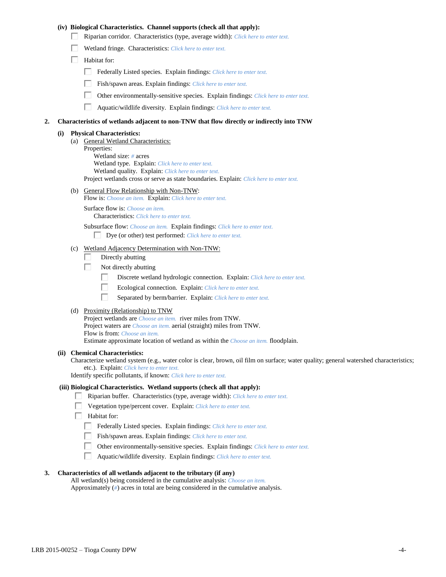# **(iv) Biological Characteristics. Channel supports (check all that apply):**

- Riparian corridor. Characteristics (type, average width): *Click here to enter text.*
- Wetland fringe. Characteristics: *Click here to enter text.*
- $\Box$  Habitat for:
	- Federally Listed species. Explain findings: *Click here to enter text.*
	- Fish/spawn areas. Explain findings: *Click here to enter text.*
	- $\Box$ Other environmentally-sensitive species. Explain findings: *Click here to enter text.*
	- $\Box$ Aquatic/wildlife diversity. Explain findings: *Click here to enter text.*

## **2. Characteristics of wetlands adjacent to non-TNW that flow directly or indirectly into TNW**

#### **(i) Physical Characteristics:**

- (a) General Wetland Characteristics: Properties: Wetland size: *#* acres Wetland type. Explain: *Click here to enter text.* Wetland quality. Explain: *Click here to enter text.* Project wetlands cross or serve as state boundaries. Explain: *Click here to enter text.*
- (b) General Flow Relationship with Non-TNW:
	- Flow is: *Choose an item.* Explain: *Click here to enter text.*

Surface flow is: *Choose an item.* Characteristics: *Click here to enter text.*

Subsurface flow: *Choose an item.* Explain findings: *Click here to enter text.*

Dye (or other) test performed: *Click here to enter text.*

# (c) Wetland Adjacency Determination with Non-TNW:

- П Directly abutting
- Not directly abutting Г.
	- П. Discrete wetland hydrologic connection. Explain: *Click here to enter text.*
	- П. Ecological connection. Explain: *Click here to enter text.*
	- П. Separated by berm/barrier. Explain: *Click here to enter text.*
- (d) Proximity (Relationship) to TNW

Project wetlands are *Choose an item.* river miles from TNW. Project waters are *Choose an item.* aerial (straight) miles from TNW. Flow is from: *Choose an item.* Estimate approximate location of wetland as within the *Choose an item.* floodplain.

#### **(ii) Chemical Characteristics:**

Characterize wetland system (e.g., water color is clear, brown, oil film on surface; water quality; general watershed characteristics; etc.). Explain: *Click here to enter text.*

Identify specific pollutants, if known: *Click here to enter text.*

## **(iii) Biological Characteristics. Wetland supports (check all that apply):**

- Riparian buffer. Characteristics (type, average width): *Click here to enter text.*
	- Vegetation type/percent cover. Explain: *Click here to enter text.*
	- Habitat for:
	- Federally Listed species. Explain findings: *Click here to enter text*.
	- Fish/spawn areas. Explain findings: *Click here to enter text.*
	- Other environmentally-sensitive species. Explain findings: *Click here to enter text.*
	- $\Box$ Aquatic/wildlife diversity. Explain findings: *Click here to enter text.*

# **3. Characteristics of all wetlands adjacent to the tributary (if any)**

All wetland(s) being considered in the cumulative analysis: *Choose an item.* Approximately (*#*) acres in total are being considered in the cumulative analysis.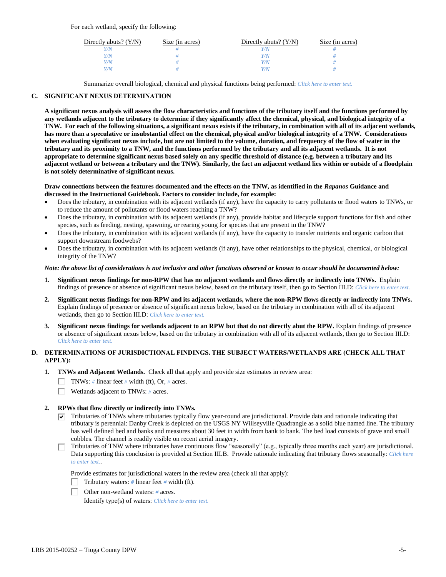For each wetland, specify the following:

| Directly abuts? $(Y/N)$ | Size (in acres) | Directly abuts? $(Y/N)$ | Size (in acres) |
|-------------------------|-----------------|-------------------------|-----------------|
|                         |                 |                         |                 |
|                         |                 | Y/N                     |                 |
| 77N                     |                 | Y/N                     |                 |
|                         |                 | 77N                     |                 |

Summarize overall biological, chemical and physical functions being performed: *Click here to enter text.*

# **C. SIGNIFICANT NEXUS DETERMINATION**

**A significant nexus analysis will assess the flow characteristics and functions of the tributary itself and the functions performed by any wetlands adjacent to the tributary to determine if they significantly affect the chemical, physical, and biological integrity of a TNW. For each of the following situations, a significant nexus exists if the tributary, in combination with all of its adjacent wetlands, has more than a speculative or insubstantial effect on the chemical, physical and/or biological integrity of a TNW. Considerations when evaluating significant nexus include, but are not limited to the volume, duration, and frequency of the flow of water in the tributary and its proximity to a TNW, and the functions performed by the tributary and all its adjacent wetlands. It is not appropriate to determine significant nexus based solely on any specific threshold of distance (e.g. between a tributary and its adjacent wetland or between a tributary and the TNW). Similarly, the fact an adjacent wetland lies within or outside of a floodplain is not solely determinative of significant nexus.** 

## **Draw connections between the features documented and the effects on the TNW, as identified in the** *Rapanos* **Guidance and discussed in the Instructional Guidebook. Factors to consider include, for example:**

- Does the tributary, in combination with its adjacent wetlands (if any), have the capacity to carry pollutants or flood waters to TNWs, or to reduce the amount of pollutants or flood waters reaching a TNW?
- Does the tributary, in combination with its adjacent wetlands (if any), provide habitat and lifecycle support functions for fish and other species, such as feeding, nesting, spawning, or rearing young for species that are present in the TNW?
- Does the tributary, in combination with its adjacent wetlands (if any), have the capacity to transfer nutrients and organic carbon that support downstream foodwebs?
- Does the tributary, in combination with its adjacent wetlands (if any), have other relationships to the physical, chemical, or biological integrity of the TNW?

## *Note: the above list of considerations is not inclusive and other functions observed or known to occur should be documented below:*

- **1. Significant nexus findings for non-RPW that has no adjacent wetlands and flows directly or indirectly into TNWs.** Explain findings of presence or absence of significant nexus below, based on the tributary itself, then go to Section III.D: *Click here to enter text.*
- **2. Significant nexus findings for non-RPW and its adjacent wetlands, where the non-RPW flows directly or indirectly into TNWs.**  Explain findings of presence or absence of significant nexus below, based on the tributary in combination with all of its adjacent wetlands, then go to Section III.D: *Click here to enter text.*
- **3. Significant nexus findings for wetlands adjacent to an RPW but that do not directly abut the RPW.** Explain findings of presence or absence of significant nexus below, based on the tributary in combination with all of its adjacent wetlands, then go to Section III.D: *Click here to enter text.*

# **D. DETERMINATIONS OF JURISDICTIONAL FINDINGS. THE SUBJECT WATERS/WETLANDS ARE (CHECK ALL THAT APPLY):**

- **1. TNWs and Adjacent Wetlands.** Check all that apply and provide size estimates in review area:
	- TNWs: *#* linear feet *#* width (ft), Or, *#* acres.
	- $\Box$ Wetlands adjacent to TNWs: *#* acres.

# **2. RPWs that flow directly or indirectly into TNWs.**

- $\nabla$  Tributaries of TNWs where tributaries typically flow year-round are jurisdictional. Provide data and rationale indicating that tributary is perennial: Danby Creek is depicted on the USGS NY Willseyville Quadrangle as a solid blue named line. The tributary has well defined bed and banks and measures about 30 feet in width from bank to bank. The bed load consists of grave and small cobbles. The channel is readily visible on recent aerial imagery.
- Tributaries of TNW where tributaries have continuous flow "seasonally" (e.g., typically three months each year) are jurisdictional. Data supporting this conclusion is provided at Section III.B. Provide rationale indicating that tributary flows seasonally: *Click here to enter text.*.

Provide estimates for jurisdictional waters in the review area (check all that apply):



Other non-wetland waters: *#* acres.

Identify type(s) of waters: *Click here to enter text.*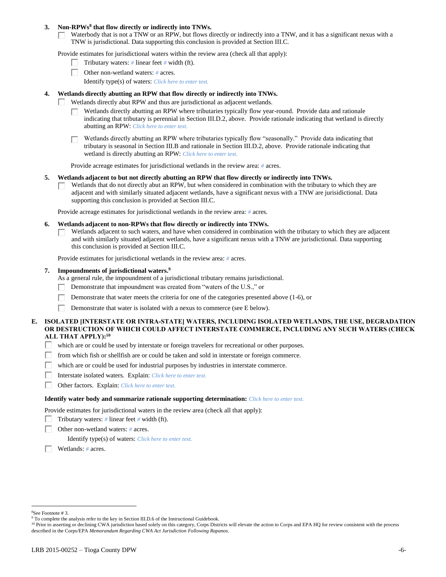## **3. Non-RPWs<sup>8</sup> that flow directly or indirectly into TNWs.**

Waterbody that is not a TNW or an RPW, but flows directly or indirectly into a TNW, and it has a significant nexus with a Г. TNW is jurisdictional. Data supporting this conclusion is provided at Section III.C.

Provide estimates for jurisdictional waters within the review area (check all that apply):

- Tributary waters: *#* linear feet *#* width (ft).  $\mathbf{L}$
- Other non-wetland waters: *#* acres.
	- Identify type(s) of waters: *Click here to enter text.*

## **4. Wetlands directly abutting an RPW that flow directly or indirectly into TNWs.**

- п Wetlands directly abut RPW and thus are jurisdictional as adjacent wetlands.
	- Wetlands directly abutting an RPW where tributaries typically flow year-round. Provide data and rationale indicating that tributary is perennial in Section III.D.2, above. Provide rationale indicating that wetland is directly abutting an RPW: *Click here to enter text.*

Wetlands directly abutting an RPW where tributaries typically flow "seasonally." Provide data indicating that tributary is seasonal in Section III.B and rationale in Section III.D.2, above. Provide rationale indicating that wetland is directly abutting an RPW: *Click here to enter text.*

Provide acreage estimates for jurisdictional wetlands in the review area: *#* acres.

## **5. Wetlands adjacent to but not directly abutting an RPW that flow directly or indirectly into TNWs.**

Wetlands that do not directly abut an RPW, but when considered in combination with the tributary to which they are  $\mathbf{L}$ adjacent and with similarly situated adjacent wetlands, have a significant nexus with a TNW are jurisidictional. Data supporting this conclusion is provided at Section III.C.

Provide acreage estimates for jurisdictional wetlands in the review area: *#* acres.

- **6. Wetlands adjacent to non-RPWs that flow directly or indirectly into TNWs.** 
	- Wetlands adjacent to such waters, and have when considered in combination with the tributary to which they are adjacent П and with similarly situated adjacent wetlands, have a significant nexus with a TNW are jurisdictional. Data supporting this conclusion is provided at Section III.C.

Provide estimates for jurisdictional wetlands in the review area: *#* acres.

## **7. Impoundments of jurisdictional waters. 9**

As a general rule, the impoundment of a jurisdictional tributary remains jurisdictional.

- П Demonstrate that impoundment was created from "waters of the U.S.," or
- Demonstrate that water meets the criteria for one of the categories presented above (1-6), or
- Г Demonstrate that water is isolated with a nexus to commerce (see E below).

# **E. ISOLATED [INTERSTATE OR INTRA-STATE] WATERS, INCLUDING ISOLATED WETLANDS, THE USE, DEGRADATION OR DESTRUCTION OF WHICH COULD AFFECT INTERSTATE COMMERCE, INCLUDING ANY SUCH WATERS (CHECK ALL THAT APPLY):<sup>10</sup>**

- П. which are or could be used by interstate or foreign travelers for recreational or other purposes.
- from which fish or shellfish are or could be taken and sold in interstate or foreign commerce. П.
- П. which are or could be used for industrial purposes by industries in interstate commerce.
- П. Interstate isolated waters.Explain: *Click here to enter text.*
- п Other factors.Explain: *Click here to enter text.*

#### **Identify water body and summarize rationale supporting determination:** *Click here to enter text.*

Provide estimates for jurisdictional waters in the review area (check all that apply):

- Tributary waters:  $\#$  linear feet  $\#$  width (ft).
- Other non-wetland waters: *#* acres.

Identify type(s) of waters: *Click here to enter text.*

Wetlands: *#* acres.

<sup>8</sup>See Footnote # 3.

<sup>&</sup>lt;sup>9</sup> To complete the analysis refer to the key in Section III.D.6 of the Instructional Guidebook.

<sup>&</sup>lt;sup>10</sup> Prior to asserting or declining CWA jurisdiction based solely on this category, Corps Districts will elevate the action to Corps and EPA HQ for review consistent with the process described in the Corps/EPA *Memorandum Regarding CWA Act Jurisdiction Following Rapanos.*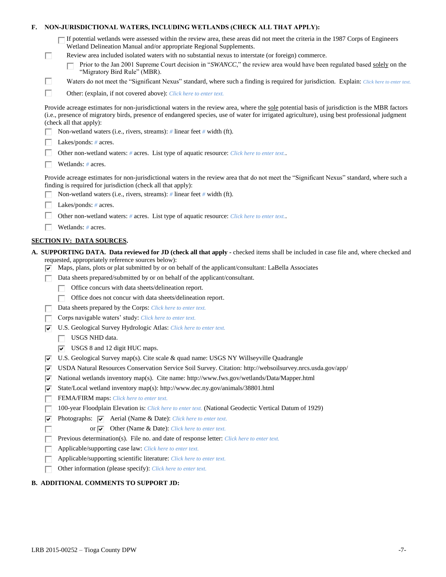| Е.                                                                                         | NON-JURISDICTIONAL WATERS, INCLUDING WETLANDS (CHECK ALL THAT APPLY): |                                                                                                                                                                                                                                                                                                                           |  |  |  |
|--------------------------------------------------------------------------------------------|-----------------------------------------------------------------------|---------------------------------------------------------------------------------------------------------------------------------------------------------------------------------------------------------------------------------------------------------------------------------------------------------------------------|--|--|--|
|                                                                                            |                                                                       | If potential wetlands were assessed within the review area, these areas did not meet the criteria in the 1987 Corps of Engineers<br>Wetland Delineation Manual and/or appropriate Regional Supplements.                                                                                                                   |  |  |  |
|                                                                                            | □                                                                     | Review area included isolated waters with no substantial nexus to interstate (or foreign) commerce.<br>Prior to the Jan 2001 Supreme Court decision in "SWANCC," the review area would have been regulated based solely on the<br>"Migratory Bird Rule" (MBR).                                                            |  |  |  |
|                                                                                            | П                                                                     | Waters do not meet the "Significant Nexus" standard, where such a finding is required for jurisdiction. Explain: Click here to enter text.                                                                                                                                                                                |  |  |  |
|                                                                                            | П                                                                     | Other: (explain, if not covered above): Click here to enter text.                                                                                                                                                                                                                                                         |  |  |  |
|                                                                                            |                                                                       | Provide acreage estimates for non-jurisdictional waters in the review area, where the sole potential basis of jurisdiction is the MBR factors<br>(i.e., presence of migratory birds, presence of endangered species, use of water for irrigated agriculture), using best professional judgment<br>(check all that apply): |  |  |  |
|                                                                                            |                                                                       | Non-wetland waters (i.e., rivers, streams): # linear feet # width (ft).                                                                                                                                                                                                                                                   |  |  |  |
|                                                                                            |                                                                       | Lakes/ponds: $# \, \text{acres.}$                                                                                                                                                                                                                                                                                         |  |  |  |
| Other non-wetland waters: # acres. List type of aquatic resource: Click here to enter text |                                                                       |                                                                                                                                                                                                                                                                                                                           |  |  |  |
| Wetlands: $#$ acres.                                                                       |                                                                       |                                                                                                                                                                                                                                                                                                                           |  |  |  |
|                                                                                            |                                                                       | Provide acreage estimates for non-jurisdictional waters in the review area that do not meet the "Significant Nexus" standard, where such a<br>finding is required for jurisdiction (check all that apply):                                                                                                                |  |  |  |
|                                                                                            |                                                                       | Non-wetland waters (i.e., rivers, streams): $\#$ linear feet $\#$ width (ft).                                                                                                                                                                                                                                             |  |  |  |
|                                                                                            |                                                                       | Lakes/ponds: $# \, \text{acres.}$                                                                                                                                                                                                                                                                                         |  |  |  |
|                                                                                            |                                                                       | Other non-wetland waters: # acres. List type of aquatic resource: Click here to enter text                                                                                                                                                                                                                                |  |  |  |
|                                                                                            |                                                                       | Wetlands: # acres.                                                                                                                                                                                                                                                                                                        |  |  |  |
|                                                                                            |                                                                       | <b>SECTION IV: DATA SOURCES.</b>                                                                                                                                                                                                                                                                                          |  |  |  |
|                                                                                            |                                                                       | A. SUPPORTING DATA. Data reviewed for JD (check all that apply - checked items shall be included in case file and, where checked and                                                                                                                                                                                      |  |  |  |
|                                                                                            |                                                                       | requested, appropriately reference sources below):                                                                                                                                                                                                                                                                        |  |  |  |
|                                                                                            | ✓                                                                     | Maps, plans, plots or plat submitted by or on behalf of the applicant/consultant: LaBella Associates                                                                                                                                                                                                                      |  |  |  |
|                                                                                            |                                                                       | Data sheets prepared/submitted by or on behalf of the applicant/consultant.                                                                                                                                                                                                                                               |  |  |  |
|                                                                                            |                                                                       | Office concurs with data sheets/delineation report.                                                                                                                                                                                                                                                                       |  |  |  |
|                                                                                            |                                                                       | Office does not concur with data sheets/delineation report.                                                                                                                                                                                                                                                               |  |  |  |
|                                                                                            |                                                                       | Data sheets prepared by the Corps: Click here to enter text.                                                                                                                                                                                                                                                              |  |  |  |
|                                                                                            |                                                                       | Corps navigable waters' study: Click here to enter text.                                                                                                                                                                                                                                                                  |  |  |  |
|                                                                                            |                                                                       | U.S. Geological Survey Hydrologic Atlas: Click here to enter text.                                                                                                                                                                                                                                                        |  |  |  |
|                                                                                            |                                                                       | USGS NHD data.                                                                                                                                                                                                                                                                                                            |  |  |  |
|                                                                                            |                                                                       | $\overline{\triangledown}$ USGS 8 and 12 digit HUC maps.                                                                                                                                                                                                                                                                  |  |  |  |
|                                                                                            | ∣V                                                                    | U.S. Geological Survey map(s). Cite scale & quad name: USGS NY Willseyville Quadrangle                                                                                                                                                                                                                                    |  |  |  |
|                                                                                            | ⊽                                                                     | USDA Natural Resources Conservation Service Soil Survey. Citation: http://websoilsurvey.nrcs.usda.gov/app/                                                                                                                                                                                                                |  |  |  |
|                                                                                            | V                                                                     | National wetlands inventory map(s). Cite name: http://www.fws.gov/wetlands/Data/Mapper.html                                                                                                                                                                                                                               |  |  |  |
|                                                                                            | ⊽                                                                     | State/Local wetland inventory map(s): http://www.dec.ny.gov/animals/38801.html<br>FEMA/FIRM maps: Click here to enter text.                                                                                                                                                                                               |  |  |  |
|                                                                                            |                                                                       | 100-year Floodplain Elevation is: Click here to enter text. (National Geodectic Vertical Datum of 1929)                                                                                                                                                                                                                   |  |  |  |
|                                                                                            | ⊽                                                                     | Photographs: $\overline{\blacktriangledown}$ Aerial (Name & Date): Click here to enter text.                                                                                                                                                                                                                              |  |  |  |
|                                                                                            |                                                                       | or $\overline{\mathbf{v}}$<br>Other (Name & Date): Click here to enter text.                                                                                                                                                                                                                                              |  |  |  |
|                                                                                            |                                                                       | Previous determination(s). File no. and date of response letter: Click here to enter text.                                                                                                                                                                                                                                |  |  |  |
|                                                                                            |                                                                       | Applicable/supporting case law: Click here to enter text.                                                                                                                                                                                                                                                                 |  |  |  |
|                                                                                            |                                                                       | Applicable/supporting scientific literature: Click here to enter text.                                                                                                                                                                                                                                                    |  |  |  |
|                                                                                            |                                                                       | Other information (please specify): Click here to enter text.                                                                                                                                                                                                                                                             |  |  |  |
|                                                                                            |                                                                       |                                                                                                                                                                                                                                                                                                                           |  |  |  |
|                                                                                            |                                                                       | <b>B. ADDITIONAL COMMENTS TO SUPPORT JD:</b>                                                                                                                                                                                                                                                                              |  |  |  |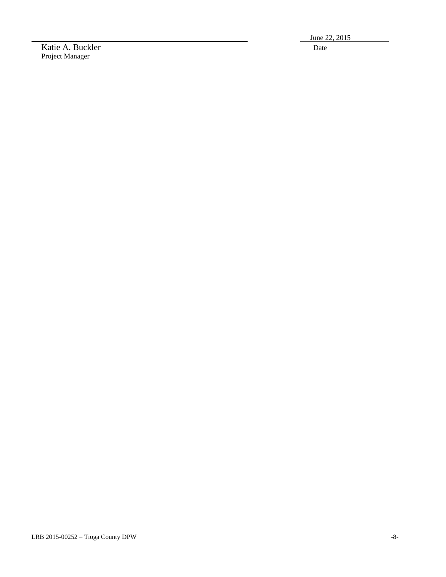June 22, 2015

Katie A. Buckler Date Project Manager